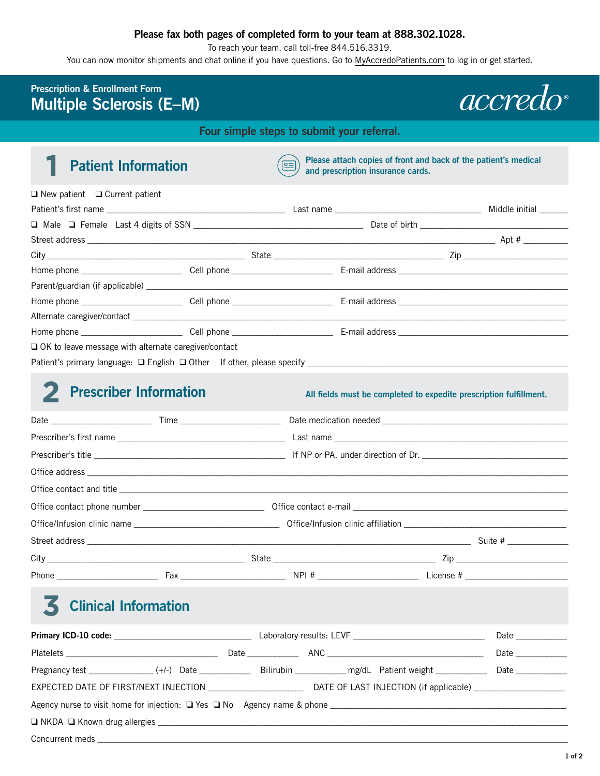### **Please fax both pages of completed form to your team at 888.302.1028.**

To reach your team, call toll-free 844.516.3319.

You can now monitor shipments and chat online if you have questions. Go to [MyAccredoPatients.com](https://prescribers.accredo.com/frontend/apw/login) to log in or get started.

### **Prescription & Enrollment Form Multiple Sclerosis (E–M)**



**Four simple steps to submit your referral.** 

**Patient Information Please attach copies of front and back of the patient's medical and prescription insurance cards and prescription insurance cards.** 

| $\Box$ New patient $\Box$ Current patient              |  |                    |  |  |
|--------------------------------------------------------|--|--------------------|--|--|
|                                                        |  | Middle initial     |  |  |
|                                                        |  |                    |  |  |
|                                                        |  |                    |  |  |
|                                                        |  | $\overline{z}$ Zip |  |  |
|                                                        |  |                    |  |  |
|                                                        |  |                    |  |  |
|                                                        |  |                    |  |  |
|                                                        |  |                    |  |  |
|                                                        |  |                    |  |  |
| □ OK to leave message with alternate caregiver/contact |  |                    |  |  |
|                                                        |  |                    |  |  |

# 2 **Prescriber Information All fields must be completed to expedite prescription fulfillment.**

# 3 **Clinical Information**

|  |  |  | Date and the set of the set of the set of the set of the set of the set of the set of the set of the set of th |  |  |  |  |  |  |
|--|--|--|----------------------------------------------------------------------------------------------------------------|--|--|--|--|--|--|
|  |  |  | Date $\_\_$                                                                                                    |  |  |  |  |  |  |
|  |  |  |                                                                                                                |  |  |  |  |  |  |
|  |  |  |                                                                                                                |  |  |  |  |  |  |
|  |  |  |                                                                                                                |  |  |  |  |  |  |
|  |  |  |                                                                                                                |  |  |  |  |  |  |